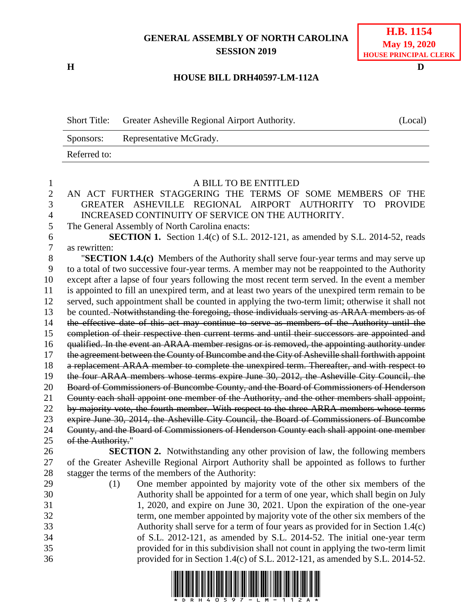## **GENERAL ASSEMBLY OF NORTH CAROLINA SESSION 2019**

**H D**

## **H.B. 1154 May 19, 2020 HOUSE PRINCIPAL CLERK**

## **HOUSE BILL DRH40597-LM-112A**

Short Title: Greater Asheville Regional Airport Authority. (Local) Sponsors: Representative McGrady. Referred to:

| 1              | A BILL TO BE ENTITLED                                                                                                                                       |  |  |  |
|----------------|-------------------------------------------------------------------------------------------------------------------------------------------------------------|--|--|--|
| $\overline{2}$ | AN ACT FURTHER STAGGERING THE TERMS OF SOME MEMBERS OF THE                                                                                                  |  |  |  |
| 3              | GREATER ASHEVILLE REGIONAL AIRPORT AUTHORITY<br>TO PROVIDE                                                                                                  |  |  |  |
| $\overline{4}$ | INCREASED CONTINUITY OF SERVICE ON THE AUTHORITY.                                                                                                           |  |  |  |
| 5              | The General Assembly of North Carolina enacts:                                                                                                              |  |  |  |
| 6              | <b>SECTION 1.</b> Section 1.4(c) of S.L. 2012-121, as amended by S.L. 2014-52, reads                                                                        |  |  |  |
| $\tau$         | as rewritten:                                                                                                                                               |  |  |  |
| 8              | "SECTION 1.4.(c) Members of the Authority shall serve four-year terms and may serve up                                                                      |  |  |  |
| 9              | to a total of two successive four-year terms. A member may not be reappointed to the Authority                                                              |  |  |  |
| 10             | except after a lapse of four years following the most recent term served. In the event a member                                                             |  |  |  |
| 11             | is appointed to fill an unexpired term, and at least two years of the unexpired term remain to be                                                           |  |  |  |
| 12             | served, such appointment shall be counted in applying the two-term limit; otherwise it shall not                                                            |  |  |  |
| 13             | be counted. Notwithstanding the foregoing, those individuals serving as ARAA members as of                                                                  |  |  |  |
| 14             | the effective date of this act may continue to serve as members of the Authority until the                                                                  |  |  |  |
| 15             | completion of their respective then current terms and until their successors are appointed and                                                              |  |  |  |
| 16             | qualified. In the event an ARAA member resigns or is removed, the appointing authority under                                                                |  |  |  |
| 17             | the agreement between the County of Buncombe and the City of Asheville shall forthwith appoint                                                              |  |  |  |
| 18             | a replacement ARAA member to complete the unexpired term. Thereafter, and with respect to                                                                   |  |  |  |
| 19             | the four ARAA members whose terms expire June 30, 2012, the Asheville City Council, the                                                                     |  |  |  |
| 20             | Board of Commissioners of Buncombe County, and the Board of Commissioners of Henderson                                                                      |  |  |  |
| 21             | County each shall appoint one member of the Authority, and the other members shall appoint,                                                                 |  |  |  |
| 22             | by majority vote, the fourth member. With respect to the three ARRA members whose terms                                                                     |  |  |  |
| 23             | expire June 30, 2014, the Asheville City Council, the Board of Commissioners of Buncombe                                                                    |  |  |  |
| 24             | County, and the Board of Commissioners of Henderson County each shall appoint one member                                                                    |  |  |  |
| 25             | of the Authority."                                                                                                                                          |  |  |  |
| 26             | <b>SECTION 2.</b> Notwithstanding any other provision of law, the following members                                                                         |  |  |  |
| 27             | of the Greater Asheville Regional Airport Authority shall be appointed as follows to further                                                                |  |  |  |
| 28             | stagger the terms of the members of the Authority:                                                                                                          |  |  |  |
| 29             | One member appointed by majority vote of the other six members of the<br>(1)                                                                                |  |  |  |
| 30             | Authority shall be appointed for a term of one year, which shall begin on July                                                                              |  |  |  |
| 31             | 1, 2020, and expire on June 30, 2021. Upon the expiration of the one-year                                                                                   |  |  |  |
| 32<br>33       | term, one member appointed by majority vote of the other six members of the                                                                                 |  |  |  |
| 34             | Authority shall serve for a term of four years as provided for in Section 1.4(c)<br>of S.L. 2012-121, as amended by S.L. 2014-52. The initial one-year term |  |  |  |
| 35             | provided for in this subdivision shall not count in applying the two-term limit                                                                             |  |  |  |
| 36             | provided for in Section 1.4(c) of S.L. 2012-121, as amended by S.L. 2014-52.                                                                                |  |  |  |
|                |                                                                                                                                                             |  |  |  |